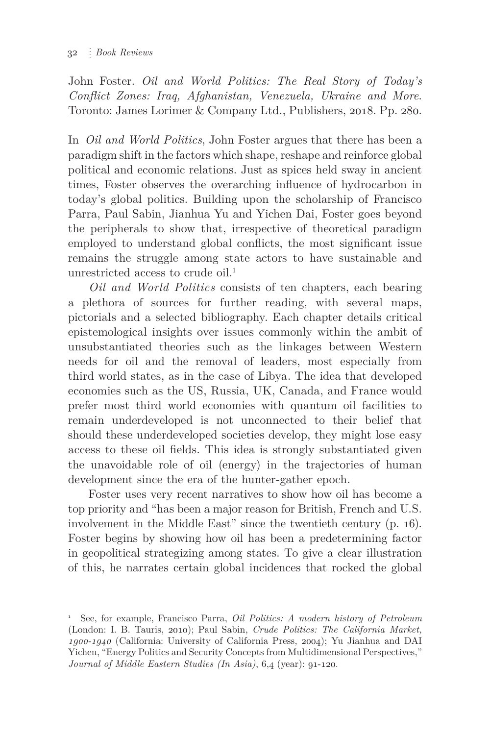John Foster. *Oil and World Politics: The Real Story of Today's Conflict Zones: Iraq, Afghanistan, Venezuela, Ukraine and More*. Toronto: James Lorimer & Company Ltd., Publishers, 2018. Pp. 280.

In *Oil and World Politics*, John Foster argues that there has been a paradigm shift in the factors which shape, reshape and reinforce global political and economic relations. Just as spices held sway in ancient times, Foster observes the overarching influence of hydrocarbon in today's global politics. Building upon the scholarship of Francisco Parra, Paul Sabin, Jianhua Yu and Yichen Dai, Foster goes beyond the peripherals to show that, irrespective of theoretical paradigm employed to understand global conflicts, the most significant issue remains the struggle among state actors to have sustainable and unrestricted access to crude  $\delta$ il.<sup>1</sup>

*Oil and World Politics* consists of ten chapters, each bearing a plethora of sources for further reading, with several maps, pictorials and a selected bibliography. Each chapter details critical epistemological insights over issues commonly within the ambit of unsubstantiated theories such as the linkages between Western needs for oil and the removal of leaders, most especially from third world states, as in the case of Libya. The idea that developed economies such as the US, Russia, UK, Canada, and France would prefer most third world economies with quantum oil facilities to remain underdeveloped is not unconnected to their belief that should these underdeveloped societies develop, they might lose easy access to these oil fields. This idea is strongly substantiated given the unavoidable role of oil (energy) in the trajectories of human development since the era of the hunter-gather epoch.

Foster uses very recent narratives to show how oil has become a top priority and "has been a major reason for British, French and U.S. involvement in the Middle East" since the twentieth century (p. 16). Foster begins by showing how oil has been a predetermining factor in geopolitical strategizing among states. To give a clear illustration of this, he narrates certain global incidences that rocked the global

<sup>1</sup> See, for example, Francisco Parra, *Oil Politics: A modern history of Petroleum* (London: I. B. Tauris, 2010); Paul Sabin, *Crude Politics: The California Market, 1900-1940* (California: University of California Press, 2004); Yu Jianhua and DAI Yichen, "Energy Politics and Security Concepts from Multidimensional Perspectives," *Journal of Middle Eastern Studies (In Asia)*, 6,4 (year): 91-120.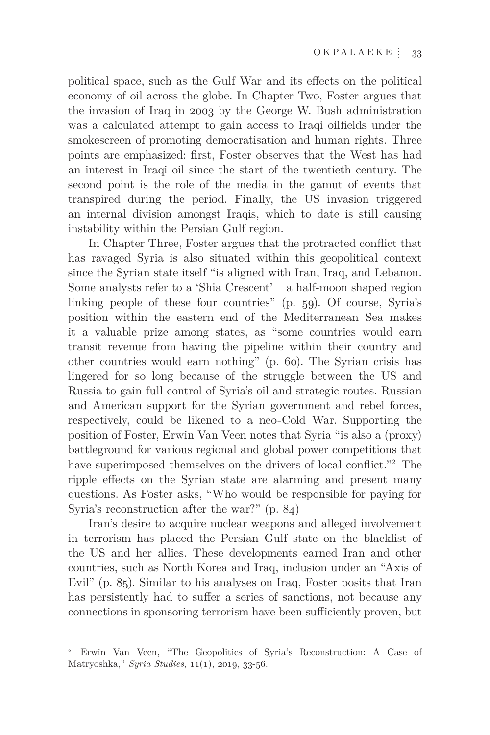political space, such as the Gulf War and its effects on the political economy of oil across the globe. In Chapter Two, Foster argues that the invasion of Iraq in 2003 by the George W. Bush administration was a calculated attempt to gain access to Iraqi oilfields under the smokescreen of promoting democratisation and human rights. Three points are emphasized: first, Foster observes that the West has had an interest in Iraqi oil since the start of the twentieth century. The second point is the role of the media in the gamut of events that transpired during the period. Finally, the US invasion triggered an internal division amongst Iraqis, which to date is still causing instability within the Persian Gulf region.

In Chapter Three, Foster argues that the protracted conflict that has ravaged Syria is also situated within this geopolitical context since the Syrian state itself "is aligned with Iran, Iraq, and Lebanon. Some analysts refer to a 'Shia Crescent' – a half-moon shaped region linking people of these four countries" (p. 59). Of course, Syria's position within the eastern end of the Mediterranean Sea makes it a valuable prize among states, as "some countries would earn transit revenue from having the pipeline within their country and other countries would earn nothing" (p. 60). The Syrian crisis has lingered for so long because of the struggle between the US and Russia to gain full control of Syria's oil and strategic routes. Russian and American support for the Syrian government and rebel forces, respectively, could be likened to a neo-Cold War. Supporting the position of Foster, Erwin Van Veen notes that Syria "is also a (proxy) battleground for various regional and global power competitions that have superimposed themselves on the drivers of local conflict."<sup>2</sup> The ripple effects on the Syrian state are alarming and present many questions. As Foster asks, "Who would be responsible for paying for Syria's reconstruction after the war?" (p. 84)

Iran's desire to acquire nuclear weapons and alleged involvement in terrorism has placed the Persian Gulf state on the blacklist of the US and her allies. These developments earned Iran and other countries, such as North Korea and Iraq, inclusion under an "Axis of Evil" (p. 85). Similar to his analyses on Iraq, Foster posits that Iran has persistently had to suffer a series of sanctions, not because any connections in sponsoring terrorism have been sufficiently proven, but

<sup>2</sup> Erwin Van Veen, "The Geopolitics of Syria's Reconstruction: A Case of Matryoshka," *Syria Studies*, 11(1), 2019, 33-56.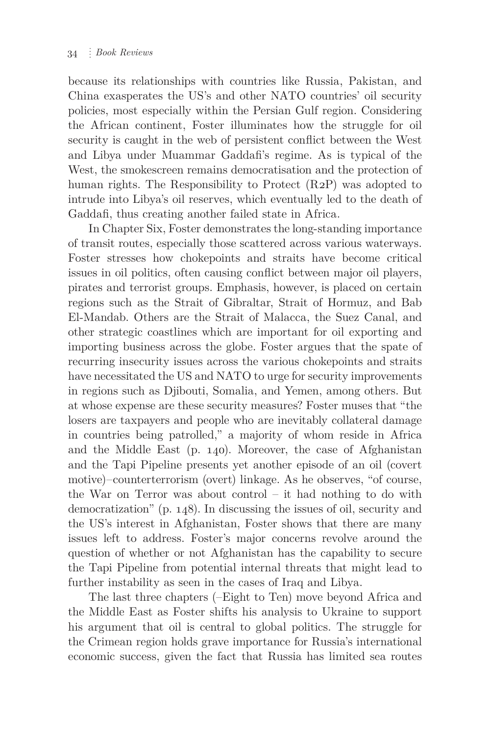because its relationships with countries like Russia, Pakistan, and China exasperates the US's and other NATO countries' oil security policies, most especially within the Persian Gulf region. Considering the African continent, Foster illuminates how the struggle for oil security is caught in the web of persistent conflict between the West and Libya under Muammar Gaddafi's regime. As is typical of the West, the smokescreen remains democratisation and the protection of human rights. The Responsibility to Protect (R2P) was adopted to intrude into Libya's oil reserves, which eventually led to the death of Gaddafi, thus creating another failed state in Africa.

In Chapter Six, Foster demonstrates the long-standing importance of transit routes, especially those scattered across various waterways. Foster stresses how chokepoints and straits have become critical issues in oil politics, often causing conflict between major oil players, pirates and terrorist groups. Emphasis, however, is placed on certain regions such as the Strait of Gibraltar, Strait of Hormuz, and Bab El-Mandab. Others are the Strait of Malacca, the Suez Canal, and other strategic coastlines which are important for oil exporting and importing business across the globe. Foster argues that the spate of recurring insecurity issues across the various chokepoints and straits have necessitated the US and NATO to urge for security improvements in regions such as Djibouti, Somalia, and Yemen, among others. But at whose expense are these security measures? Foster muses that "the losers are taxpayers and people who are inevitably collateral damage in countries being patrolled," a majority of whom reside in Africa and the Middle East (p. 140). Moreover, the case of Afghanistan and the Tapi Pipeline presents yet another episode of an oil (covert motive)–counterterrorism (overt) linkage. As he observes, "of course, the War on Terror was about control – it had nothing to do with democratization" (p. 148). In discussing the issues of oil, security and the US's interest in Afghanistan, Foster shows that there are many issues left to address. Foster's major concerns revolve around the question of whether or not Afghanistan has the capability to secure the Tapi Pipeline from potential internal threats that might lead to further instability as seen in the cases of Iraq and Libya.

The last three chapters (–Eight to Ten) move beyond Africa and the Middle East as Foster shifts his analysis to Ukraine to support his argument that oil is central to global politics. The struggle for the Crimean region holds grave importance for Russia's international economic success, given the fact that Russia has limited sea routes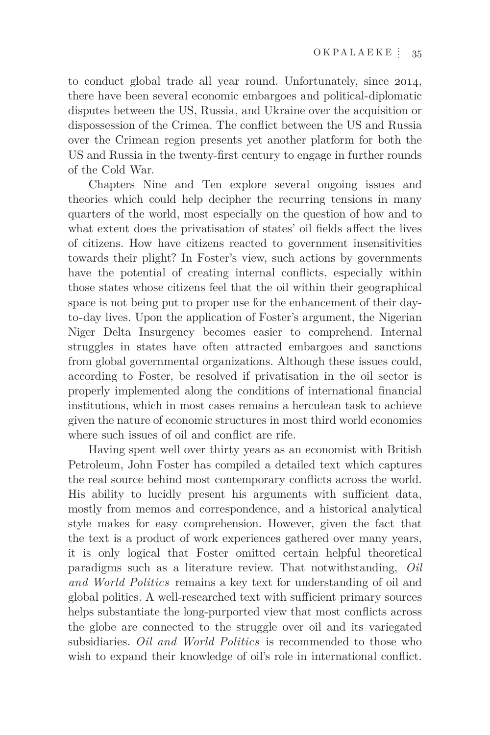to conduct global trade all year round. Unfortunately, since 2014, there have been several economic embargoes and political-diplomatic disputes between the US, Russia, and Ukraine over the acquisition or dispossession of the Crimea. The conflict between the US and Russia over the Crimean region presents yet another platform for both the US and Russia in the twenty-first century to engage in further rounds of the Cold War.

Chapters Nine and Ten explore several ongoing issues and theories which could help decipher the recurring tensions in many quarters of the world, most especially on the question of how and to what extent does the privatisation of states' oil fields affect the lives of citizens. How have citizens reacted to government insensitivities towards their plight? In Foster's view, such actions by governments have the potential of creating internal conflicts, especially within those states whose citizens feel that the oil within their geographical space is not being put to proper use for the enhancement of their dayto-day lives. Upon the application of Foster's argument, the Nigerian Niger Delta Insurgency becomes easier to comprehend. Internal struggles in states have often attracted embargoes and sanctions from global governmental organizations. Although these issues could, according to Foster, be resolved if privatisation in the oil sector is properly implemented along the conditions of international financial institutions, which in most cases remains a herculean task to achieve given the nature of economic structures in most third world economies where such issues of oil and conflict are rife.

Having spent well over thirty years as an economist with British Petroleum, John Foster has compiled a detailed text which captures the real source behind most contemporary conflicts across the world. His ability to lucidly present his arguments with sufficient data, mostly from memos and correspondence, and a historical analytical style makes for easy comprehension. However, given the fact that the text is a product of work experiences gathered over many years, it is only logical that Foster omitted certain helpful theoretical paradigms such as a literature review. That notwithstanding, *Oil and World Politics* remains a key text for understanding of oil and global politics. A well-researched text with sufficient primary sources helps substantiate the long-purported view that most conflicts across the globe are connected to the struggle over oil and its variegated subsidiaries. *Oil and World Politics* is recommended to those who wish to expand their knowledge of oil's role in international conflict.